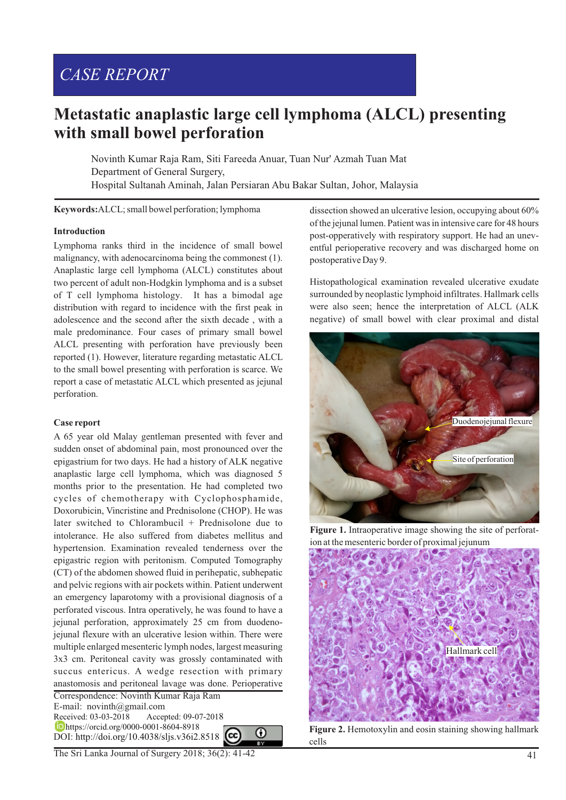# *CASE REPORT*

# **Metastatic anaplastic large cell lymphoma (ALCL) presenting with small bowel perforation**

Novinth Kumar Raja Ram, Siti Fareeda Anuar, Tuan Nur' Azmah Tuan Mat Department of General Surgery, Hospital Sultanah Aminah, Jalan Persiaran Abu Bakar Sultan, Johor, Malaysia

**Keywords:**ALCL; small bowel perforation; lymphoma

#### **Introduction**

Lymphoma ranks third in the incidence of small bowel malignancy, with adenocarcinoma being the commonest (1). Anaplastic large cell lymphoma (ALCL) constitutes about two percent of adult non-Hodgkin lymphoma and is a subset of T cell lymphoma histology. It has a bimodal age distribution with regard to incidence with the first peak in adolescence and the second after the sixth decade , with a male predominance. Four cases of primary small bowel ALCL presenting with perforation have previously been reported (1). However, literature regarding metastatic ALCL to the small bowel presenting with perforation is scarce. We report a case of metastatic ALCL which presented as jejunal perforation.

## **Case report**

Correspondence: Novinth Kumar Raja Ram A 65 year old Malay gentleman presented with fever and sudden onset of abdominal pain, most pronounced over the epigastrium for two days. He had a history of ALK negative anaplastic large cell lymphoma, which was diagnosed 5 months prior to the presentation. He had completed two cycles of chemotherapy with Cyclophosphamide, Doxorubicin, Vincristine and Prednisolone (CHOP). He was later switched to Chlorambucil + Prednisolone due to intolerance. He also suffered from diabetes mellitus and hypertension. Examination revealed tenderness over the epigastric region with peritonism. Computed Tomography (CT) of the abdomen showed fluid in perihepatic, subhepatic and pelvic regions with air pockets within. Patient underwent an emergency laparotomy with a provisional diagnosis of a perforated viscous. Intra operatively, he was found to have a jejunal perforation, approximately 25 cm from duodenojejunal flexure with an ulcerative lesion within. There were multiple enlarged mesenteric lymph nodes, largest measuring 3x3 cm. Peritoneal cavity was grossly contaminated with succus entericus. A wedge resection with primary anastomosis and peritoneal lavage was done. Perioperative

E-mail: novinth@gmail.com Received: 03-03-2018 Accepted: 09-07-2018 https://orcid.org/0000-0001-8604-8918 DOI: http://doi.org/10.4038/sljs.v36i2.8518

The Sri Lanka Journal of Surgery 2018; 36(2): 41-42

 $\odot$ 

dissection showed an ulcerative lesion, occupying about 60% of the jejunal lumen. Patient was in intensive care for 48 hours post-opperatively with respiratory support. He had an uneventful perioperative recovery and was discharged home on postoperative Day 9.

Histopathological examination revealed ulcerative exudate surrounded by neoplastic lymphoid infiltrates. Hallmark cells were also seen; hence the interpretation of ALCL (ALK negative) of small bowel with clear proximal and distal



**Figure 1.** Intraoperative image showing the site of perforation at the mesenteric border of proximal jejunum



**Figure 2.** Hemotoxylin and eosin staining showing hallmark cells